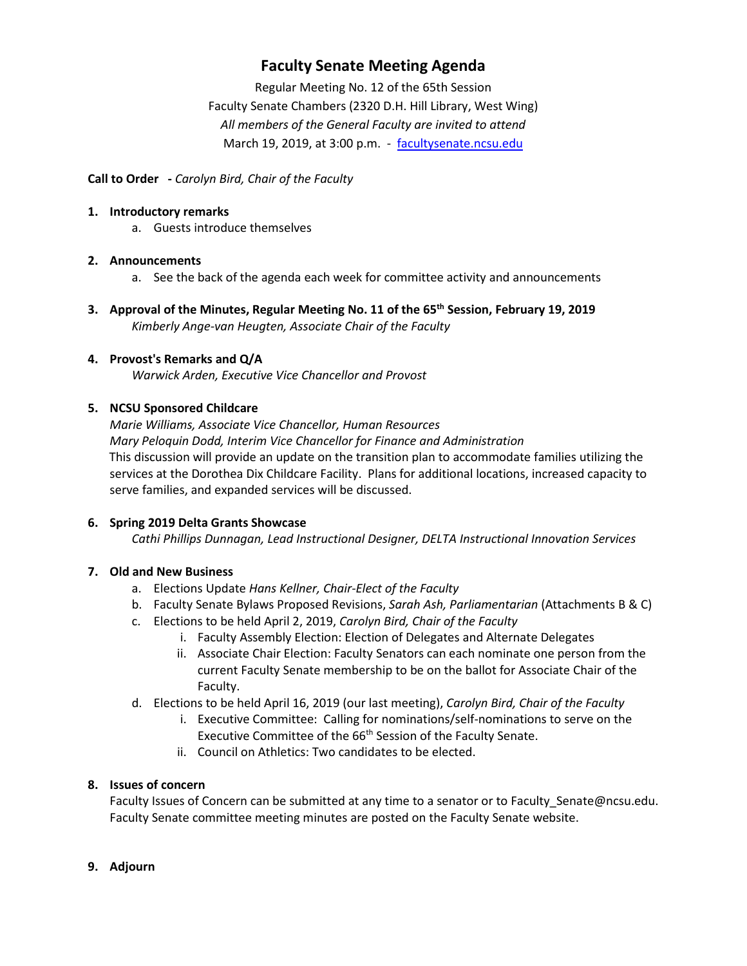## **Faculty Senate Meeting Agenda**

Regular Meeting No. 12 of the 65th Session Faculty Senate Chambers (2320 D.H. Hill Library, West Wing) *All members of the General Faculty are invited to attend* March 19, 2019, at 3:00 p.m. - [facultysenate.ncsu.edu](https://facultysenate.ncsu.edu/)

## **Call to Order -** *Carolyn Bird, Chair of the Faculty*

#### **1. Introductory remarks**

a. Guests introduce themselves

## **2. Announcements**

- a. See the back of the agenda each week for committee activity and announcements
- **3. Approval of the Minutes, Regular Meeting No. 11 of the 65th Session, February 19, 2019** *Kimberly Ange-van Heugten, Associate Chair of the Faculty*

## **4. Provost's Remarks and Q/A**

*Warwick Arden, Executive Vice Chancellor and Provost*

## **5. NCSU Sponsored Childcare**

*Marie Williams, Associate Vice Chancellor, Human Resources Mary Peloquin Dodd, Interim Vice Chancellor for Finance and Administration* This discussion will provide an update on the transition plan to accommodate families utilizing the services at the Dorothea Dix Childcare Facility. Plans for additional locations, increased capacity to serve families, and expanded services will be discussed.

#### **6. Spring 2019 Delta Grants Showcase**

*Cathi Phillips Dunnagan, Lead Instructional Designer, DELTA Instructional Innovation Services*

## **7. Old and New Business**

- a. Elections Update *Hans Kellner, Chair-Elect of the Faculty*
- b. Faculty Senate Bylaws Proposed Revisions, *Sarah Ash, Parliamentarian* (Attachments B & C)
- c. Elections to be held April 2, 2019, *Carolyn Bird, Chair of the Faculty*
	- i. Faculty Assembly Election: Election of Delegates and Alternate Delegates
	- ii. Associate Chair Election: Faculty Senators can each nominate one person from the current Faculty Senate membership to be on the ballot for Associate Chair of the Faculty.
- d. Elections to be held April 16, 2019 (our last meeting), *Carolyn Bird, Chair of the Faculty*
	- i. Executive Committee: Calling for nominations/self-nominations to serve on the Executive Committee of the 66<sup>th</sup> Session of the Faculty Senate.
	- ii. Council on Athletics: Two candidates to be elected.

## **8. Issues of concern**

Faculty Issues of Concern can be submitted at any time to a senator or to Faculty\_Senate@ncsu.edu. Faculty Senate committee meeting minutes are posted on the Faculty Senate website.

#### **9. Adjourn**